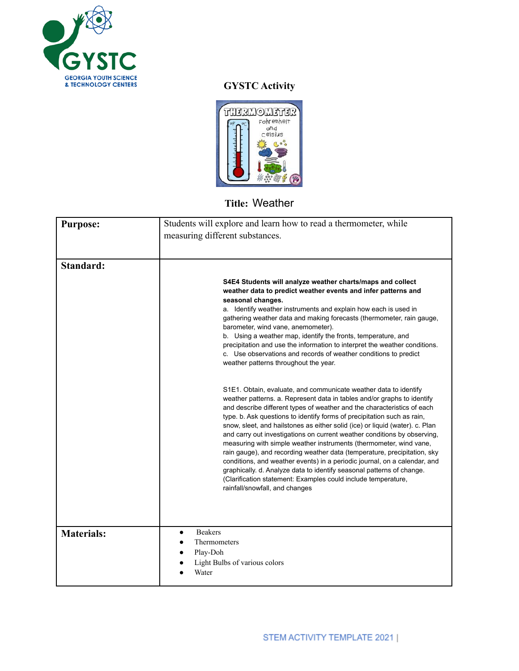

## **GYSTC Activity**



## **Title:** Weather

| <b>Purpose:</b>   | Students will explore and learn how to read a thermometer, while                                                                                                                                                                                                                                                                                                                                                                                                                                                                                                                                                                                                                                                                                                                                                                                                         |
|-------------------|--------------------------------------------------------------------------------------------------------------------------------------------------------------------------------------------------------------------------------------------------------------------------------------------------------------------------------------------------------------------------------------------------------------------------------------------------------------------------------------------------------------------------------------------------------------------------------------------------------------------------------------------------------------------------------------------------------------------------------------------------------------------------------------------------------------------------------------------------------------------------|
|                   | measuring different substances.                                                                                                                                                                                                                                                                                                                                                                                                                                                                                                                                                                                                                                                                                                                                                                                                                                          |
|                   |                                                                                                                                                                                                                                                                                                                                                                                                                                                                                                                                                                                                                                                                                                                                                                                                                                                                          |
| Standard:         |                                                                                                                                                                                                                                                                                                                                                                                                                                                                                                                                                                                                                                                                                                                                                                                                                                                                          |
|                   |                                                                                                                                                                                                                                                                                                                                                                                                                                                                                                                                                                                                                                                                                                                                                                                                                                                                          |
|                   | S4E4 Students will analyze weather charts/maps and collect<br>weather data to predict weather events and infer patterns and<br>seasonal changes.                                                                                                                                                                                                                                                                                                                                                                                                                                                                                                                                                                                                                                                                                                                         |
|                   | a. Identify weather instruments and explain how each is used in<br>gathering weather data and making forecasts (thermometer, rain gauge,<br>barometer, wind vane, anemometer).                                                                                                                                                                                                                                                                                                                                                                                                                                                                                                                                                                                                                                                                                           |
|                   | b. Using a weather map, identify the fronts, temperature, and<br>precipitation and use the information to interpret the weather conditions.<br>c. Use observations and records of weather conditions to predict<br>weather patterns throughout the year.                                                                                                                                                                                                                                                                                                                                                                                                                                                                                                                                                                                                                 |
|                   | S1E1. Obtain, evaluate, and communicate weather data to identify<br>weather patterns. a. Represent data in tables and/or graphs to identify<br>and describe different types of weather and the characteristics of each<br>type. b. Ask questions to identify forms of precipitation such as rain,<br>snow, sleet, and hailstones as either solid (ice) or liquid (water). c. Plan<br>and carry out investigations on current weather conditions by observing,<br>measuring with simple weather instruments (thermometer, wind vane,<br>rain gauge), and recording weather data (temperature, precipitation, sky<br>conditions, and weather events) in a periodic journal, on a calendar, and<br>graphically. d. Analyze data to identify seasonal patterns of change.<br>(Clarification statement: Examples could include temperature,<br>rainfall/snowfall, and changes |
| <b>Materials:</b> | <b>Beakers</b><br>$\bullet$<br>Thermometers<br>Play-Doh<br>Light Bulbs of various colors<br>Water                                                                                                                                                                                                                                                                                                                                                                                                                                                                                                                                                                                                                                                                                                                                                                        |